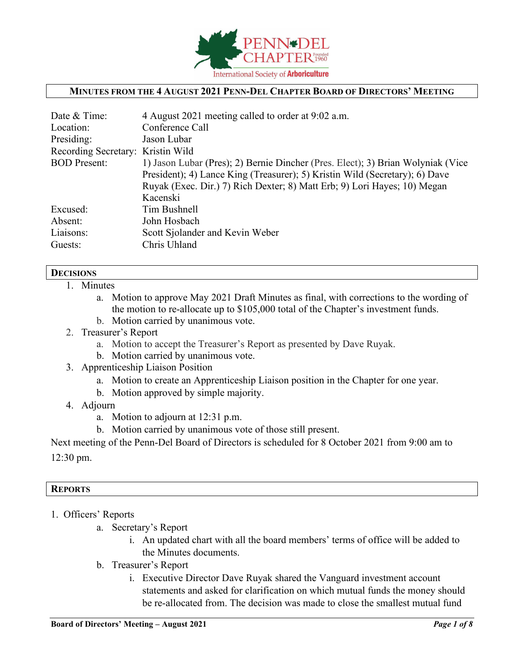

### **MINUTES FROM THE 4 AUGUST 2021 PENN-DEL CHAPTER BOARD OF DIRECTORS' MEETING**

| Date & Time:                      | 4 August 2021 meeting called to order at 9:02 a.m.                              |
|-----------------------------------|---------------------------------------------------------------------------------|
| Location:                         | Conference Call                                                                 |
| Presiding:                        | Jason Lubar                                                                     |
| Recording Secretary: Kristin Wild |                                                                                 |
| <b>BOD</b> Present:               | 1) Jason Lubar (Pres); 2) Bernie Dincher (Pres. Elect); 3) Brian Wolyniak (Vice |
|                                   | President); 4) Lance King (Treasurer); 5) Kristin Wild (Secretary); 6) Dave     |
|                                   | Ruyak (Exec. Dir.) 7) Rich Dexter; 8) Matt Erb; 9) Lori Hayes; 10) Megan        |
|                                   | Kacenski                                                                        |
| Excused:                          | Tim Bushnell                                                                    |
| Absent:                           | John Hosbach                                                                    |
| Liaisons:                         | Scott Sjolander and Kevin Weber                                                 |
| Guests:                           | Chris Uhland                                                                    |
|                                   |                                                                                 |

#### **DECISIONS**

- 1. Minutes
	- a. Motion to approve May 2021 Draft Minutes as final, with corrections to the wording of the motion to re-allocate up to \$105,000 total of the Chapter's investment funds.
	- b. Motion carried by unanimous vote.
- 2. Treasurer's Report
	- a. Motion to accept the Treasurer's Report as presented by Dave Ruyak.
	- b. Motion carried by unanimous vote.
- 3. Apprenticeship Liaison Position
	- a. Motion to create an Apprenticeship Liaison position in the Chapter for one year.
	- b. Motion approved by simple majority.
- 4. Adjourn
	- a. Motion to adjourn at 12:31 p.m.
	- b. Motion carried by unanimous vote of those still present.

Next meeting of the Penn-Del Board of Directors is scheduled for 8 October 2021 from 9:00 am to 12:30 pm.

## **REPORTS**

- 1. Officers' Reports
	- a. Secretary's Report
		- i. An updated chart with all the board members' terms of office will be added to the Minutes documents.
	- b. Treasurer's Report
		- i. Executive Director Dave Ruyak shared the Vanguard investment account statements and asked for clarification on which mutual funds the money should be re-allocated from. The decision was made to close the smallest mutual fund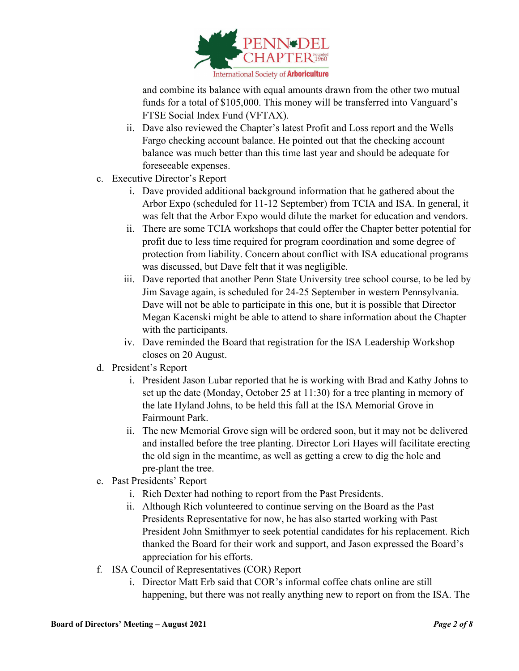

and combine its balance with equal amounts drawn from the other two mutual funds for a total of \$105,000. This money will be transferred into Vanguard's FTSE Social Index Fund (VFTAX).

- ii. Dave also reviewed the Chapter's latest Profit and Loss report and the Wells Fargo checking account balance. He pointed out that the checking account balance was much better than this time last year and should be adequate for foreseeable expenses.
- c. Executive Director's Report
	- i. Dave provided additional background information that he gathered about the Arbor Expo (scheduled for 11-12 September) from TCIA and ISA. In general, it was felt that the Arbor Expo would dilute the market for education and vendors.
	- ii. There are some TCIA workshops that could offer the Chapter better potential for profit due to less time required for program coordination and some degree of protection from liability. Concern about conflict with ISA educational programs was discussed, but Dave felt that it was negligible.
	- iii. Dave reported that another Penn State University tree school course, to be led by Jim Savage again, is scheduled for 24-25 September in western Pennsylvania. Dave will not be able to participate in this one, but it is possible that Director Megan Kacenski might be able to attend to share information about the Chapter with the participants.
	- iv. Dave reminded the Board that registration for the ISA Leadership Workshop closes on 20 August.
- d. President's Report
	- i. President Jason Lubar reported that he is working with Brad and Kathy Johns to set up the date (Monday, October 25 at 11:30) for a tree planting in memory of the late Hyland Johns, to be held this fall at the ISA Memorial Grove in Fairmount Park.
	- ii. The new Memorial Grove sign will be ordered soon, but it may not be delivered and installed before the tree planting. Director Lori Hayes will facilitate erecting the old sign in the meantime, as well as getting a crew to dig the hole and pre-plant the tree.
- e. Past Presidents' Report
	- i. Rich Dexter had nothing to report from the Past Presidents.
	- ii. Although Rich volunteered to continue serving on the Board as the Past Presidents Representative for now, he has also started working with Past President John Smithmyer to seek potential candidates for his replacement. Rich thanked the Board for their work and support, and Jason expressed the Board's appreciation for his efforts.
- f. ISA Council of Representatives (COR) Report
	- i. Director Matt Erb said that COR's informal coffee chats online are still happening, but there was not really anything new to report on from the ISA. The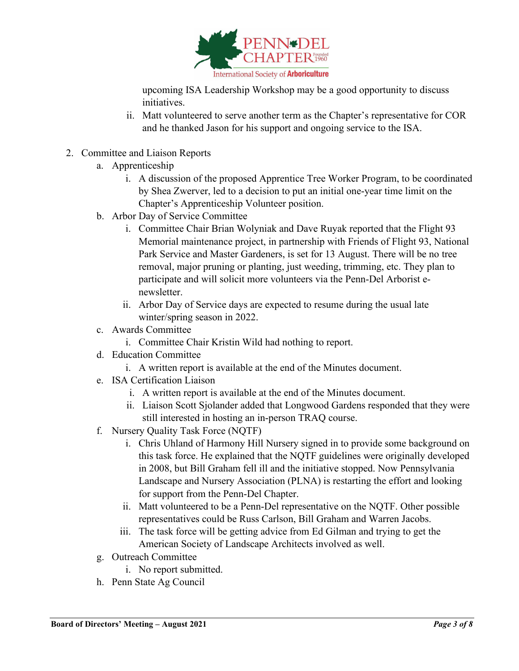

upcoming ISA Leadership Workshop may be a good opportunity to discuss initiatives.

- ii. Matt volunteered to serve another term as the Chapter's representative for COR and he thanked Jason for his support and ongoing service to the ISA.
- 2. Committee and Liaison Reports
	- a. Apprenticeship
		- i. A discussion of the proposed Apprentice Tree Worker Program, to be coordinated by Shea Zwerver, led to a decision to put an initial one-year time limit on the Chapter's Apprenticeship Volunteer position.
	- b. Arbor Day of Service Committee
		- i. Committee Chair Brian Wolyniak and Dave Ruyak reported that the Flight 93 Memorial maintenance project, in partnership with Friends of Flight 93, National Park Service and Master Gardeners, is set for 13 August. There will be no tree removal, major pruning or planting, just weeding, trimming, etc. They plan to participate and will solicit more volunteers via the Penn-Del Arborist enewsletter.
		- ii. Arbor Day of Service days are expected to resume during the usual late winter/spring season in 2022.
	- c. Awards Committee
		- i. Committee Chair Kristin Wild had nothing to report.
	- d. Education Committee
		- i. A written report is available at the end of the Minutes document.
	- e. ISA Certification Liaison
		- i. A written report is available at the end of the Minutes document.
		- ii. Liaison Scott Sjolander added that Longwood Gardens responded that they were still interested in hosting an in-person TRAQ course.
	- f. Nursery Quality Task Force (NQTF)
		- i. Chris Uhland of Harmony Hill Nursery signed in to provide some background on this task force. He explained that the NQTF guidelines were originally developed in 2008, but Bill Graham fell ill and the initiative stopped. Now Pennsylvania Landscape and Nursery Association (PLNA) is restarting the effort and looking for support from the Penn-Del Chapter.
		- ii. Matt volunteered to be a Penn-Del representative on the NQTF. Other possible representatives could be Russ Carlson, Bill Graham and Warren Jacobs.
		- iii. The task force will be getting advice from Ed Gilman and trying to get the American Society of Landscape Architects involved as well.
	- g. Outreach Committee
		- i. No report submitted.
	- h. Penn State Ag Council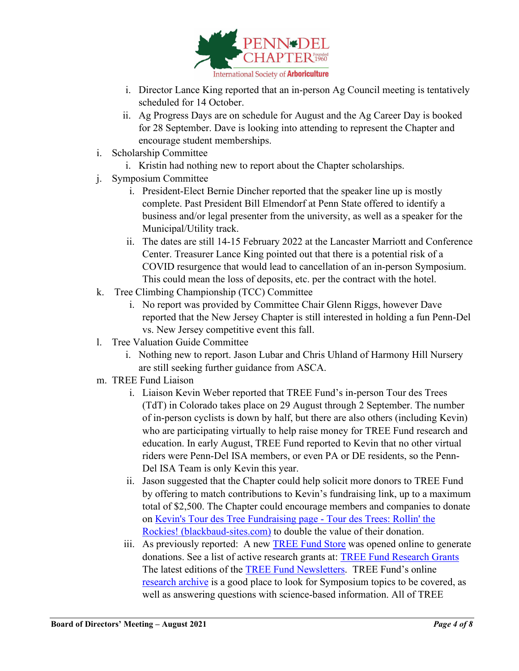

- i. Director Lance King reported that an in-person Ag Council meeting is tentatively scheduled for 14 October.
- ii. Ag Progress Days are on schedule for August and the Ag Career Day is booked for 28 September. Dave is looking into attending to represent the Chapter and encourage student memberships.
- i. Scholarship Committee
	- i. Kristin had nothing new to report about the Chapter scholarships.
- j. Symposium Committee
	- i. President-Elect Bernie Dincher reported that the speaker line up is mostly complete. Past President Bill Elmendorf at Penn State offered to identify a business and/or legal presenter from the university, as well as a speaker for the Municipal/Utility track.
	- ii. The dates are still 14-15 February 2022 at the Lancaster Marriott and Conference Center. Treasurer Lance King pointed out that there is a potential risk of a COVID resurgence that would lead to cancellation of an in-person Symposium. This could mean the loss of deposits, etc. per the contract with the hotel.
- k. Tree Climbing Championship (TCC) Committee
	- i. No report was provided by Committee Chair Glenn Riggs, however Dave reported that the New Jersey Chapter is still interested in holding a fun Penn-Del vs. New Jersey competitive event this fall.
- l. Tree Valuation Guide Committee
	- i. Nothing new to report. Jason Lubar and Chris Uhland of Harmony Hill Nursery are still seeking further guidance from ASCA.
- m. TREE Fund Liaison
	- i. Liaison Kevin Weber reported that TREE Fund's in-person Tour des Trees (TdT) in Colorado takes place on 29 August through 2 September. The number of in-person cyclists is down by half, but there are also others (including Kevin) who are participating virtually to help raise money for TREE Fund research and education. In early August, TREE Fund reported to Kevin that no other virtual riders were Penn-Del ISA members, or even PA or DE residents, so the Penn-Del ISA Team is only Kevin this year.
	- ii. Jason suggested that the Chapter could help solicit more donors to TREE Fund by offering to match contributions to Kevin's fundraising link, up to a maximum total of \$2,500. The Chapter could encourage members and companies to donate on [Kevin's Tour des Tree Fundraising page -](https://tour-des-trees-2021.blackbaud-sites.com/fundraising/kevins-tour-des-tree-fundraising-page) Tour des Trees: Rollin' the [Rockies! \(blackbaud-sites.com\)](https://tour-des-trees-2021.blackbaud-sites.com/fundraising/kevins-tour-des-tree-fundraising-page) to double the value of their donation.
	- iii. As previously reported: A new **TREE Fund Store** was opened online to generate donations. See a list of active research grants at: [TREE Fund Research Grants](https://treefund.org/researchgrants)  The latest editions of the [TREE Fund Newsletters.](https://treefund.org/newsletter) TREE Fund's online [research archive](https://www.treefund.org/researcharchive) is a good place to look for Symposium topics to be covered, as well as answering questions with science-based information. All of TREE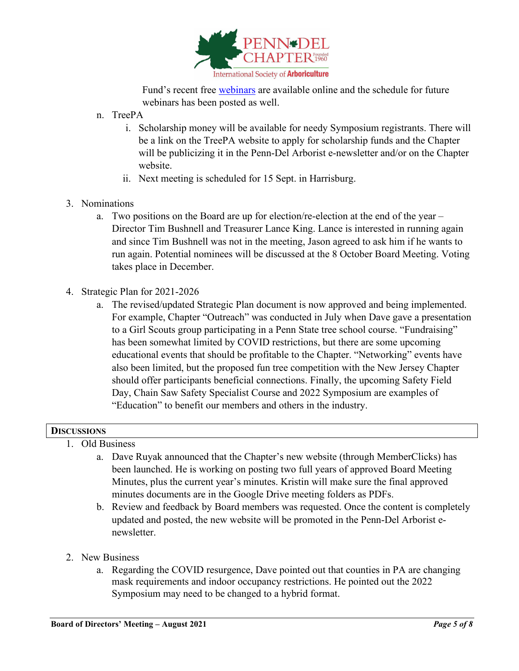

Fund's recent free [webinars](https://www.treefund.org/webinars) are available online and the schedule for future webinars has been posted as well.

- n. TreePA
	- i. Scholarship money will be available for needy Symposium registrants. There will be a link on the TreePA website to apply for scholarship funds and the Chapter will be publicizing it in the Penn-Del Arborist e-newsletter and/or on the Chapter website.
	- ii. Next meeting is scheduled for 15 Sept. in Harrisburg.
- 3. Nominations
	- a. Two positions on the Board are up for election/re-election at the end of the year Director Tim Bushnell and Treasurer Lance King. Lance is interested in running again and since Tim Bushnell was not in the meeting, Jason agreed to ask him if he wants to run again. Potential nominees will be discussed at the 8 October Board Meeting. Voting takes place in December.
- 4. Strategic Plan for 2021-2026
	- a. The revised/updated Strategic Plan document is now approved and being implemented. For example, Chapter "Outreach" was conducted in July when Dave gave a presentation to a Girl Scouts group participating in a Penn State tree school course. "Fundraising" has been somewhat limited by COVID restrictions, but there are some upcoming educational events that should be profitable to the Chapter. "Networking" events have also been limited, but the proposed fun tree competition with the New Jersey Chapter should offer participants beneficial connections. Finally, the upcoming Safety Field Day, Chain Saw Safety Specialist Course and 2022 Symposium are examples of "Education" to benefit our members and others in the industry.

## **DISCUSSIONS**

- 1. Old Business
	- a. Dave Ruyak announced that the Chapter's new website (through MemberClicks) has been launched. He is working on posting two full years of approved Board Meeting Minutes, plus the current year's minutes. Kristin will make sure the final approved minutes documents are in the Google Drive meeting folders as PDFs.
	- b. Review and feedback by Board members was requested. Once the content is completely updated and posted, the new website will be promoted in the Penn-Del Arborist enewsletter.
- 2. New Business
	- a. Regarding the COVID resurgence, Dave pointed out that counties in PA are changing mask requirements and indoor occupancy restrictions. He pointed out the 2022 Symposium may need to be changed to a hybrid format.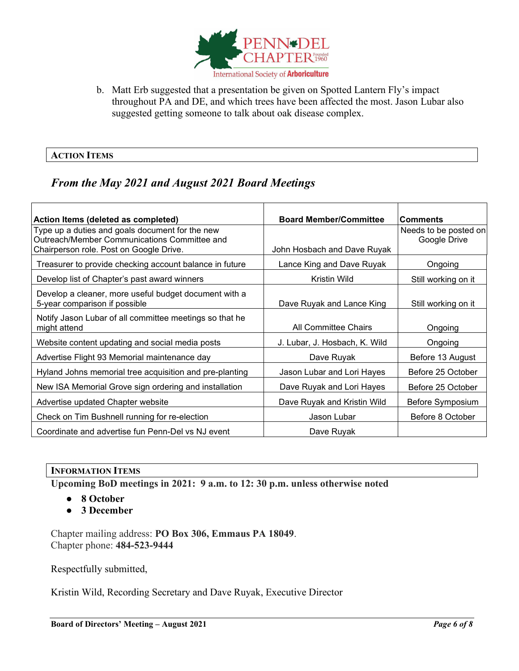

b. Matt Erb suggested that a presentation be given on Spotted Lantern Fly's impact throughout PA and DE, and which trees have been affected the most. Jason Lubar also suggested getting someone to talk about oak disease complex.

### **ACTION ITEMS**

# *From the May 2021 and August 2021 Board Meetings*

| Action Items (deleted as completed)                                                             | <b>Board Member/Committee</b> | <b>Comments</b>                       |  |
|-------------------------------------------------------------------------------------------------|-------------------------------|---------------------------------------|--|
| Type up a duties and goals document for the new<br>Outreach/Member Communications Committee and |                               | Needs to be posted on<br>Google Drive |  |
| Chairperson role. Post on Google Drive.                                                         | John Hosbach and Dave Ruyak   |                                       |  |
| Treasurer to provide checking account balance in future                                         | Lance King and Dave Ruyak     | Ongoing                               |  |
| Develop list of Chapter's past award winners                                                    | <b>Kristin Wild</b>           | Still working on it                   |  |
| Develop a cleaner, more useful budget document with a<br>5-year comparison if possible          | Dave Ruyak and Lance King     | Still working on it                   |  |
| Notify Jason Lubar of all committee meetings so that he<br>might attend                         | All Committee Chairs          | Ongoing                               |  |
| Website content updating and social media posts                                                 | J. Lubar, J. Hosbach, K. Wild | Ongoing                               |  |
| Advertise Flight 93 Memorial maintenance day                                                    | Dave Ruyak                    | Before 13 August                      |  |
| Hyland Johns memorial tree acquisition and pre-planting                                         | Jason Lubar and Lori Hayes    | Before 25 October                     |  |
| New ISA Memorial Grove sign ordering and installation                                           | Dave Ruyak and Lori Hayes     | Before 25 October                     |  |
| Advertise updated Chapter website                                                               | Dave Ruyak and Kristin Wild   | Before Symposium                      |  |
| Check on Tim Bushnell running for re-election                                                   | Jason Lubar                   | Before 8 October                      |  |
| Coordinate and advertise fun Penn-Del vs NJ event                                               | Dave Ruyak                    |                                       |  |

## **INFORMATION ITEMS**

**Upcoming BoD meetings in 2021: 9 a.m. to 12: 30 p.m. unless otherwise noted**

- **8 October**
- **3 December**

Chapter mailing address: **PO Box 306, Emmaus PA 18049**. Chapter phone: **484-523-9444**

Respectfully submitted,

Kristin Wild, Recording Secretary and Dave Ruyak, Executive Director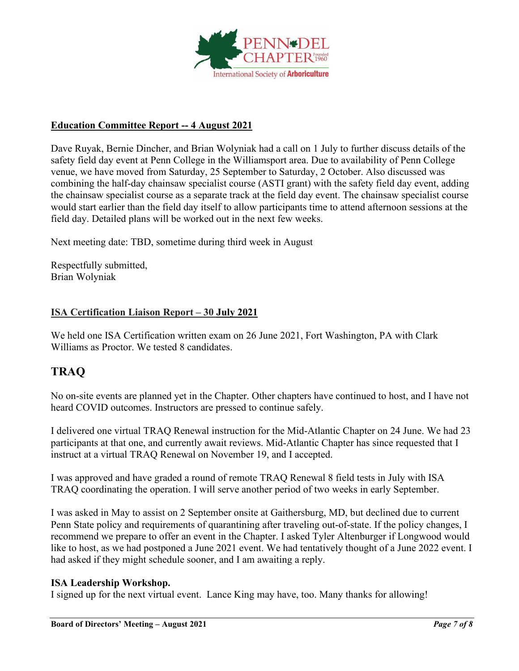

# **Education Committee Report -- 4 August 2021**

Dave Ruyak, Bernie Dincher, and Brian Wolyniak had a call on 1 July to further discuss details of the safety field day event at Penn College in the Williamsport area. Due to availability of Penn College venue, we have moved from Saturday, 25 September to Saturday, 2 October. Also discussed was combining the half-day chainsaw specialist course (ASTI grant) with the safety field day event, adding the chainsaw specialist course as a separate track at the field day event. The chainsaw specialist course would start earlier than the field day itself to allow participants time to attend afternoon sessions at the field day. Detailed plans will be worked out in the next few weeks.

Next meeting date: TBD, sometime during third week in August

Respectfully submitted, Brian Wolyniak

### **ISA Certification Liaison Report – 30 July 2021**

We held one ISA Certification written exam on 26 June 2021, Fort Washington, PA with Clark Williams as Proctor. We tested 8 candidates.

# **TRAQ**

No on-site events are planned yet in the Chapter. Other chapters have continued to host, and I have not heard COVID outcomes. Instructors are pressed to continue safely.

I delivered one virtual TRAQ Renewal instruction for the Mid-Atlantic Chapter on 24 June. We had 23 participants at that one, and currently await reviews. Mid-Atlantic Chapter has since requested that I instruct at a virtual TRAQ Renewal on November 19, and I accepted.

I was approved and have graded a round of remote TRAQ Renewal 8 field tests in July with ISA TRAQ coordinating the operation. I will serve another period of two weeks in early September.

I was asked in May to assist on 2 September onsite at Gaithersburg, MD, but declined due to current Penn State policy and requirements of quarantining after traveling out-of-state. If the policy changes, I recommend we prepare to offer an event in the Chapter. I asked Tyler Altenburger if Longwood would like to host, as we had postponed a June 2021 event. We had tentatively thought of a June 2022 event. I had asked if they might schedule sooner, and I am awaiting a reply.

#### **ISA Leadership Workshop.**

I signed up for the next virtual event. Lance King may have, too. Many thanks for allowing!